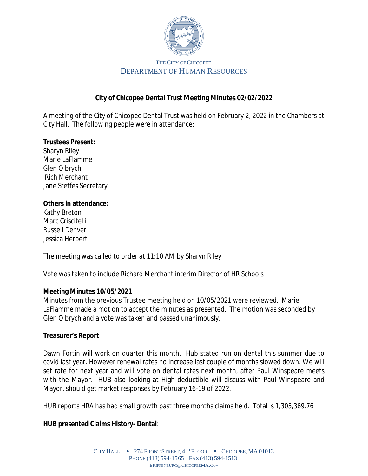

# **City of Chicopee Dental Trust Meeting Minutes 02/02/2022**

A meeting of the City of Chicopee Dental Trust was held on February 2, 2022 in the Chambers at City Hall. The following people were in attendance:

### **Trustees Present:**

Sharyn Riley Marie LaFlamme Glen Olbrych Rich Merchant Jane Steffes Secretary

#### **Others in attendance:**

Kathy Breton Marc Criscitelli Russell Denver Jessica Herbert

The meeting was called to order at 11:10 AM by Sharyn Riley

Vote was taken to include Richard Merchant interim Director of HR Schools

### **Meeting Minutes 10/05/2021**

Minutes from the previous Trustee meeting held on 10/05/2021 were reviewed. Marie LaFlamme made a motion to accept the minutes as presented. The motion was seconded by Glen Olbrych and a vote was taken and passed unanimously.

### **Treasurer's Report**

Dawn Fortin will work on quarter this month. Hub stated run on dental this summer due to covid last year. However renewal rates no increase last couple of months slowed down. We will set rate for next year and will vote on dental rates next month, after Paul Winspeare meets with the Mayor. HUB also looking at High deductible will discuss with Paul Winspeare and Mayor, should get market responses by February 16-19 of 2022.

HUB reports HRA has had small growth past three months claims held. Total is 1,305,369.76

# **HUB presented Claims History- Dental**: